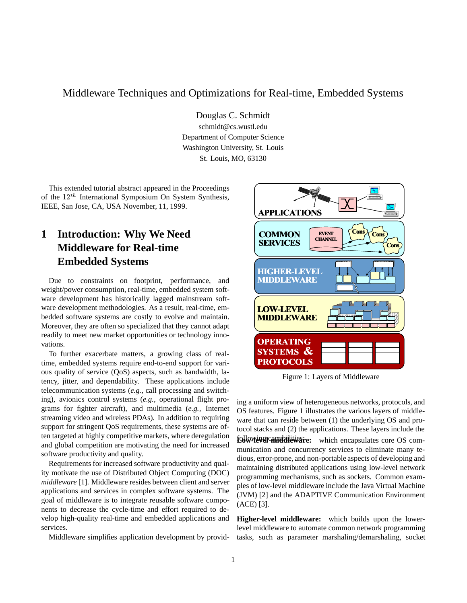### Middleware Techniques and Optimizations for Real-time, Embedded Systems

Douglas C. Schmidt

schmidt@cs.wustl.edu Department of Computer Science Washington University, St. Louis St. Louis, MO, 63130

This extended tutorial abstract appeared in the Proceedings of the  $12^{th}$  International Symposium On System Synthesis, IEEE, San Jose, CA, USA November, 11, 1999.

# **1 Introduction: Why We Need Middleware for Real-time Embedded Systems**

Due to constraints on footprint, performance, and weight/power consumption, real-time, embedded system software development has historically lagged mainstream software development methodologies. As a result, real-time, embedded software systems are costly to evolve and maintain. Moreover, they are often so specialized that they cannot adapt readily to meet new market opportunities or technology innovations.

To further exacerbate matters, a growing class of realtime, embedded systems require end-to-end support for various quality of service (QoS) aspects, such as bandwidth, latency, jitter, and dependability. These applications include telecommunication systems (*e.g.,* call processing and switching), avionics control systems (*e.g.,* operational flight programs for fighter aircraft), and multimedia (*e.g.,* Internet streaming video and wireless PDAs). In addition to requiring support for stringent QoS requirements, these systems are often targeted at highly competitive markets, where deregulation and global competition are motivating the need for increased software productivity and quality.

Requirements for increased software productivity and quality motivate the use of Distributed Object Computing (DOC) *middleware* [1]. Middleware resides between client and server applications and services in complex software systems. The goal of middleware is to integrate reusable software components to decrease the cycle-time and effort required to develop high-quality real-time and embedded applications and services.

Middleware simplifies application development by provid-



Figure 1: Layers of Middleware

ing a uniform view of heterogeneous networks, protocols, and OS features. Figure 1 illustrates the various layers of middleware that can reside between (1) the underlying OS and protocol stacks and (2) the applications. These layers include the following capabilities: which encapsulates core OS communication and concurrency services to eliminate many tedious, error-prone, and non-portable aspects of developing and maintaining distributed applications using low-level network programming mechanisms, such as sockets. Common examples of low-level middleware include the Java Virtual Machine (JVM) [2] and the ADAPTIVE Communication Environment (ACE) [3].

**Higher-level middleware:** which builds upon the lowerlevel middleware to automate common network programming tasks, such as parameter marshaling/demarshaling, socket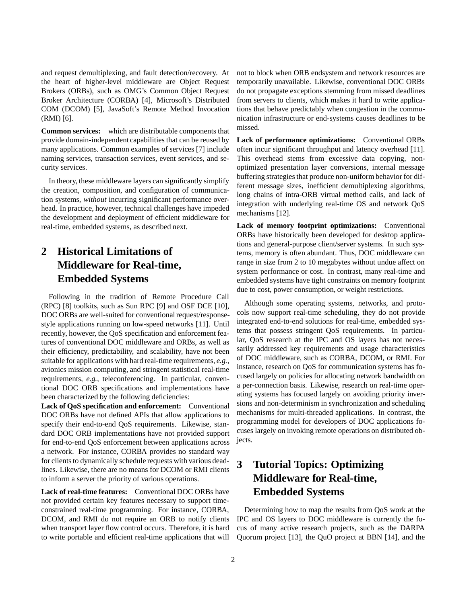and request demultiplexing, and fault detection/recovery. At the heart of higher-level middleware are Object Request Brokers (ORBs), such as OMG's Common Object Request Broker Architecture (CORBA) [4], Microsoft's Distributed COM (DCOM) [5], JavaSoft's Remote Method Invocation (RMI) [6].

**Common services:** which are distributable components that provide domain-independent capabilities that can be reused by many applications. Common examples of services [7] include naming services, transaction services, event services, and security services.

In theory, these middleware layers can significantly simplify the creation, composition, and configuration of communication systems, *without* incurring significant performance overhead. In practice, however, technical challenges have impeded the development and deployment of efficient middleware for real-time, embedded systems, as described next.

# **2 Historical Limitations of Middleware for Real-time, Embedded Systems**

Following in the tradition of Remote Procedure Call (RPC) [8] toolkits, such as Sun RPC [9] and OSF DCE [10], DOC ORBs are well-suited for conventional request/responsestyle applications running on low-speed networks [11]. Until recently, however, the QoS specification and enforcement features of conventional DOC middleware and ORBs, as well as their efficiency, predictability, and scalability, have not been suitable for applications with hard real-time requirements, *e.g.*, avionics mission computing, and stringent statistical real-time requirements, *e.g.*, teleconferencing. In particular, conventional DOC ORB specifications and implementations have been characterized by the following deficiencies:

**Lack of QoS specification and enforcement:** Conventional DOC ORBs have not defined APIs that allow applications to specify their end-to-end QoS requirements. Likewise, standard DOC ORB implementations have not provided support for end-to-end QoS enforcement between applications across a network. For instance, CORBA provides no standard way for clients to dynamically schedule requests with various deadlines. Likewise, there are no means for DCOM or RMI clients to inform a server the priority of various operations.

**Lack of real-time features:** Conventional DOC ORBs have not provided certain key features necessary to support timeconstrained real-time programming. For instance, CORBA, DCOM, and RMI do not require an ORB to notify clients when transport layer flow control occurs. Therefore, it is hard to write portable and efficient real-time applications that will not to block when ORB endsystem and network resources are temporarily unavailable. Likewise, conventional DOC ORBs do not propagate exceptions stemming from missed deadlines from servers to clients, which makes it hard to write applications that behave predictably when congestion in the communication infrastructure or end-systems causes deadlines to be missed.

**Lack of performance optimizations:** Conventional ORBs often incur significant throughput and latency overhead [11]. This overhead stems from excessive data copying, nonoptimized presentation layer conversions, internal message buffering strategies that produce non-uniform behavior for different message sizes, inefficient demultiplexing algorithms, long chains of intra-ORB virtual method calls, and lack of integration with underlying real-time OS and network QoS mechanisms [12].

**Lack of memory footprint optimizations:** Conventional ORBs have historically been developed for desktop applications and general-purpose client/server systems. In such systems, memory is often abundant. Thus, DOC middleware can range in size from 2 to 10 megabytes without undue affect on system performance or cost. In contrast, many real-time and embedded systems have tight constraints on memory footprint due to cost, power consumption, or weight restrictions.

Although some operating systems, networks, and protocols now support real-time scheduling, they do not provide integrated end-to-end solutions for real-time, embedded systems that possess stringent QoS requirements. In particular, QoS research at the IPC and OS layers has not necessarily addressed key requirements and usage characteristics of DOC middleware, such as CORBA, DCOM, or RMI. For instance, research on QoS for communication systems has focused largely on policies for allocating network bandwidth on a per-connection basis. Likewise, research on real-time operating systems has focused largely on avoiding priority inversions and non-determinism in synchronization and scheduling mechanisms for multi-threaded applications. In contrast, the programming model for developers of DOC applications focuses largely on invoking remote operations on distributed objects.

# **3 Tutorial Topics: Optimizing Middleware for Real-time, Embedded Systems**

Determining how to map the results from QoS work at the IPC and OS layers to DOC middleware is currently the focus of many active research projects, such as the DARPA Quorum project [13], the QuO project at BBN [14], and the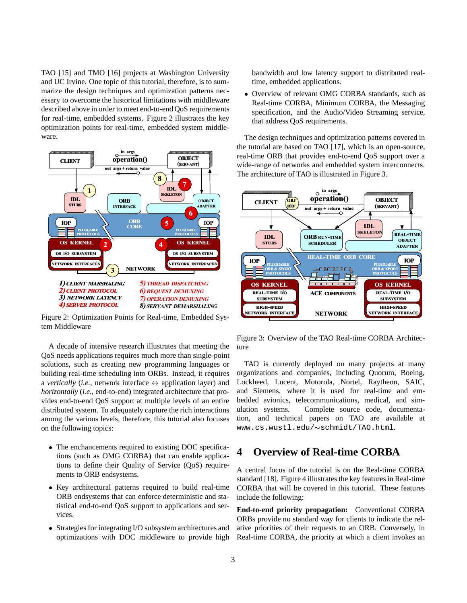TAO [15] and TMO [16] projects at Washington University and UC Irvine. One topic of this tutorial, therefore, is to summarize the design techniques and optimization patterns necessary to overcome the historical limitations with middleware described above in order to meet end-to-end QoS requirements for real-time, embedded systems. Figure 2 illustrates the key optimization points for real-time, embedded system middleware.



Figure 2: Optimization Points for Real-time, Embedded System Middleware

A decade of intensive research illustrates that meeting the QoS needs applications requires much more than single-point solutions, such as creating new programming languages or building real-time scheduling into ORBs. Instead, it requires a *vertically* (*i.e.*, network interface  $\leftrightarrow$  application layer) and *horizontally* (*i.e.*, end-to-end) integrated architecture that provides end-to-end QoS support at multiple levels of an entire distributed system. To adequately capture the rich interactions among the various levels, therefore, this tutorial also focuses on the following topics:

- The enchancements required to existing DOC specifications (such as OMG CORBA) that can enable applications to define their Quality of Service (QoS) requirements to ORB endsystems.
- Key architectural patterns required to build real-time ORB endsystems that can enforce deterministic and statistical end-to-end QoS support to applications and services.
- Strategies for integrating I/O subsystem architectures and optimizations with DOC middleware to provide high

bandwidth and low latency support to distributed realtime, embedded applications.

 Overview of relevant OMG CORBA standards, such as Real-time CORBA, Minimum CORBA, the Messaging specification, and the Audio/Video Streaming service, that address QoS requirements.

The design techniques and optimization patterns covered in the tutorial are based on TAO [17], which is an open-source, real-time ORB that provides end-to-end QoS support over a wide-range of networks and embedded system interconnects. The architecture of TAO is illustrated in Figure 3.



Figure 3: Overview of the TAO Real-time CORBA Architecture

TAO is currently deployed on many projects at many organizations and companies, including Quorum, Boeing, Lockheed, Lucent, Motorola, Nortel, Raytheon, SAIC, and Siemens, where it is used for real-time and embedded avionics, telecommunications, medical, and simulation systems. Complete source code, documentation, and technical papers on TAO are available at www.cs.wustl.edu/~schmidt/TAO.html.

### **4 Overview of Real-time CORBA**

A central focus of the tutorial is on the Real-time CORBA standard [18]. Figure 4 illustrates the key features in Real-time CORBA that will be covered in this tutorial. These features include the following:

**End-to-end priority propagation:** Conventional CORBA ORBs provide no standard way for clients to indicate the relative priorities of their requests to an ORB. Conversely, in Real-time CORBA, the priority at which a client invokes an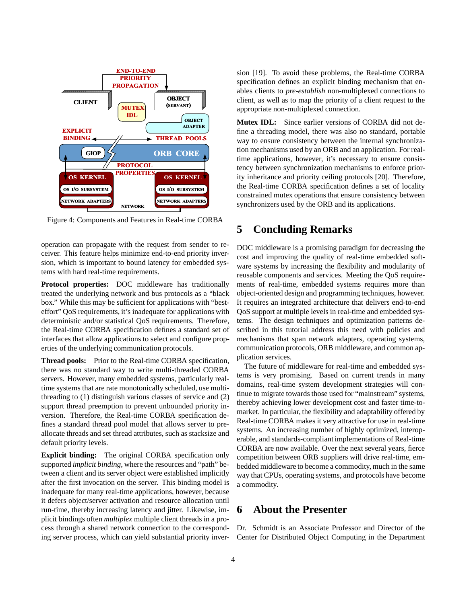

Figure 4: Components and Features in Real-time CORBA

operation can propagate with the request from sender to receiver. This feature helps minimize end-to-end priority inversion, which is important to bound latency for embedded systems with hard real-time requirements.

**Protocol properties:** DOC middleware has traditionally treated the underlying network and bus protocols as a "black box." While this may be sufficient for applications with "besteffort" QoS requirements, it's inadequate for applications with deterministic and/or statistical QoS requirements. Therefore, the Real-time CORBA specification defines a standard set of interfaces that allow applications to select and configure properties of the underlying communication protocols.

**Thread pools:** Prior to the Real-time CORBA specification, there was no standard way to write multi-threaded CORBA servers. However, many embedded systems, particularly realtime systems that are rate monotonically scheduled, use multithreading to (1) distinguish various classes of service and (2) support thread preemption to prevent unbounded priority inversion. Therefore, the Real-time CORBA specification defines a standard thread pool model that allows server to preallocate threads and set thread attributes, such as stacksize and default priority levels.

**Explicit binding:** The original CORBA specification only supported *implicit binding*, where the resources and "path" between a client and its server object were established implicitly after the first invocation on the server. This binding model is inadequate for many real-time applications, however, because it defers object/server activation and resource allocation until run-time, thereby increasing latency and jitter. Likewise, implicit bindings often *multiplex* multiple client threads in a process through a shared network connection to the corresponding server process, which can yield substantial priority inversion [19]. To avoid these problems, the Real-time CORBA specification defines an explicit binding mechanism that enables clients to *pre-establish* non-multiplexed connections to client, as well as to map the priority of a client request to the appropriate non-multiplexed connection.

**Mutex IDL:** Since earlier versions of CORBA did not define a threading model, there was also no standard, portable way to ensure consistency between the internal synchronization mechanisms used by an ORB and an application. For realtime applications, however, it's necessary to ensure consistency between synchronization mechanisms to enforce priority inheritance and priority ceiling protocols [20]. Therefore, the Real-time CORBA specification defines a set of locality constrained mutex operations that ensure consistency between synchronizers used by the ORB and its applications.

#### **5 Concluding Remarks**

DOC middleware is a promising paradigm for decreasing the cost and improving the quality of real-time embedded software systems by increasing the flexibility and modularity of reusable components and services. Meeting the QoS requirements of real-time, embedded systems requires more than object-oriented design and programming techniques, however. It requires an integrated architecture that delivers end-to-end QoS support at multiple levels in real-time and embedded systems. The design techniques and optimization patterns described in this tutorial address this need with policies and mechanisms that span network adapters, operating systems, communication protocols, ORB middleware, and common application services.

The future of middleware for real-time and embedded systems is very promising. Based on current trends in many domains, real-time system development strategies will continue to migrate towards those used for "mainstream" systems, thereby achieving lower development cost and faster time-tomarket. In particular, the flexibility and adaptability offered by Real-time CORBA makes it very attractive for use in real-time systems. An increasing number of highly optimized, interoperable, and standards-compliant implementations of Real-time CORBA are now available. Over the next several years, fierce competition between ORB suppliers will drive real-time, embedded middleware to become a commodity, much in the same way that CPUs, operating systems, and protocols have become a commodity.

#### **6 About the Presenter**

Dr. Schmidt is an Associate Professor and Director of the Center for Distributed Object Computing in the Department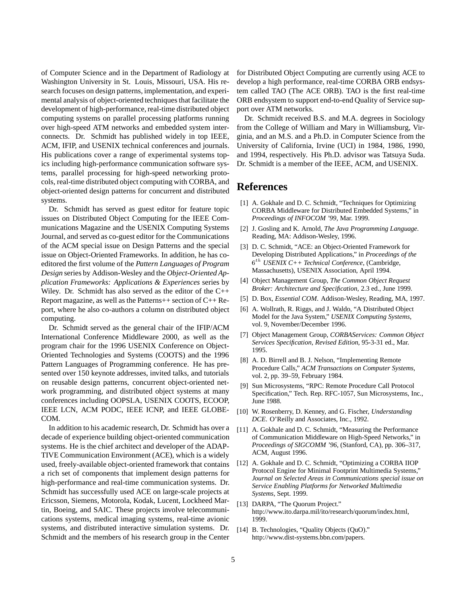of Computer Science and in the Department of Radiology at Washington University in St. Louis, Missouri, USA. His research focuses on design patterns, implementation, and experimental analysis of object-oriented techniques that facilitate the development of high-performance, real-time distributed object computing systems on parallel processing platforms running over high-speed ATM networks and embedded system interconnects. Dr. Schmidt has published widely in top IEEE, ACM, IFIP, and USENIX technical conferences and journals. His publications cover a range of experimental systems topics including high-performance communication software systems, parallel processing for high-speed networking protocols, real-time distributed object computing with CORBA, and object-oriented design patterns for concurrent and distributed systems.

Dr. Schmidt has served as guest editor for feature topic issues on Distributed Object Computing for the IEEE Communications Magazine and the USENIX Computing Systems Journal, and served as co-guest editor for the Communications of the ACM special issue on Design Patterns and the special issue on Object-Oriented Frameworks. In addition, he has coeditored the first volume of the *Pattern Languages of Program Design* series by Addison-Wesley and the *Object-Oriented Application Frameworks: Applications & Experiences* series by Wiley. Dr. Schmidt has also served as the editor of the C++ Report magazine, as well as the Patterns++ section of C++ Report, where he also co-authors a column on distributed object computing.

Dr. Schmidt served as the general chair of the IFIP/ACM International Conference Middleware 2000, as well as the program chair for the 1996 USENIX Conference on Object-Oriented Technologies and Systems (COOTS) and the 1996 Pattern Languages of Programming conference. He has presented over 150 keynote addresses, invited talks, and tutorials on reusable design patterns, concurrent object-oriented network programming, and distributed object systems at many conferences including OOPSLA, USENIX COOTS, ECOOP, IEEE LCN, ACM PODC, IEEE ICNP, and IEEE GLOBE-COM.

In addition to his academic research, Dr. Schmidt has over a decade of experience building object-oriented communication systems. He is the chief architect and developer of the ADAP-TIVE Communication Environment (ACE), which is a widely used, freely-available object-oriented framework that contains a rich set of components that implement design patterns for high-performance and real-time communication systems. Dr. Schmidt has successfully used ACE on large-scale projects at Ericsson, Siemens, Motorola, Kodak, Lucent, Lockheed Martin, Boeing, and SAIC. These projects involve telecommunications systems, medical imaging systems, real-time avionic systems, and distributed interactive simulation systems. Dr. Schmidt and the members of his research group in the Center

for Distributed Object Computing are currently using ACE to develop a high performance, real-time CORBA ORB endsystem called TAO (The ACE ORB). TAO is the first real-time ORB endsystem to support end-to-end Quality of Service support over ATM networks.

Dr. Schmidt received B.S. and M.A. degrees in Sociology from the College of William and Mary in Williamsburg, Virginia, and an M.S. and a Ph.D. in Computer Science from the University of California, Irvine (UCI) in 1984, 1986, 1990, and 1994, respectively. His Ph.D. advisor was Tatsuya Suda. Dr. Schmidt is a member of the IEEE, ACM, and USENIX.

#### **References**

- [1] A. Gokhale and D. C. Schmidt, "Techniques for Optimizing CORBA Middleware for Distributed Embedded Systems," in *Proceedings of INFOCOM '99*, Mar. 1999.
- [2] J. Gosling and K. Arnold, *The Java Programming Language*. Reading, MA: Addison-Wesley, 1996.
- [3] D. C. Schmidt, "ACE: an Object-Oriented Framework for Developing Distributed Applications," in *Proceedings of the* <sup>6</sup> th *USENIX C++ Technical Conference*, (Cambridge, Massachusetts), USENIX Association, April 1994.
- [4] Object Management Group, *The Common Object Request Broker: Architecture and Specification*, 2.3 ed., June 1999.
- [5] D. Box, *Essential COM*. Addison-Wesley, Reading, MA, 1997.
- [6] A. Wollrath, R. Riggs, and J. Waldo, "A Distributed Object Model for the Java System," *USENIX Computing Systems*, vol. 9, November/December 1996.
- [7] Object Management Group, *CORBAServices: Common Object Services Specification, Revised Edition*, 95-3-31 ed., Mar. 1995.
- [8] A. D. Birrell and B. J. Nelson, "Implementing Remote Procedure Calls," *ACM Transactions on Computer Systems*, vol. 2, pp. 39–59, February 1984.
- [9] Sun Microsystems, "RPC: Remote Procedure Call Protocol Specification," Tech. Rep. RFC-1057, Sun Microsystems, Inc., June 1988.
- [10] W. Rosenberry, D. Kenney, and G. Fischer, *Understanding DCE*. O'Reilly and Associates, Inc., 1992.
- [11] A. Gokhale and D. C. Schmidt, "Measuring the Performance" of Communication Middleware on High-Speed Networks," in *Proceedings of SIGCOMM '96*, (Stanford, CA), pp. 306–317, ACM, August 1996.
- [12] A. Gokhale and D. C. Schmidt, "Optimizing a CORBA IIOP Protocol Engine for Minimal Footprint Multimedia Systems," *Journal on Selected Areas in Communications special issue on Service Enabling Platforms for Networked Multimedia Systems*, Sept. 1999.
- [13] DARPA, "The Quorum Project." http://www.ito.darpa.mil/ito/research/quorum/index.html, 1999.
- [14] B. Technologies, "Quality Objects (QuO)." http://www.dist-systems.bbn.com/papers.